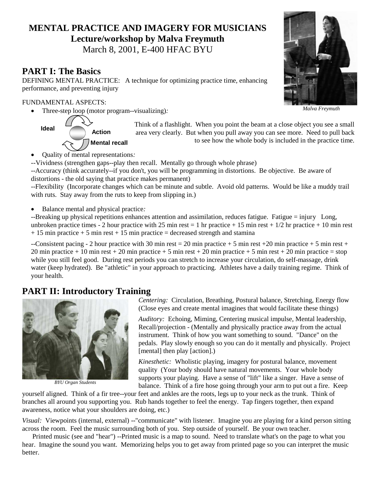# **MENTAL PRACTICE AND IMAGERY FOR MUSICIANS Lecture/workshop by Malva Freymuth**

March 8, 2001, E-400 HFAC BYU

#### **PART I: The Basics**

DEFINING MENTAL PRACTICE: A technique for optimizing practice time, enhancing performance, and preventing injury

#### FUNDAMENTAL ASPECTS:

Three-step loop (motor program--visualizing)*:*



 Think of a flashlight. When you point the beam at a close object you see a small area very clearly. But when you pull away you can see more. Need to pull back to see how the whole body is included in the practice time.

- Quality of mental representations*:*
- *--*Vividness (strengthen gaps--play then recall. Mentally go through whole phrase)
- --Accuracy (think accurately--if you don't, you will be programming in distortions. Be objective. Be aware of distortions - the old saying that practice makes permanent)

--Flexibility (Incorporate changes which can be minute and subtle. Avoid old patterns. Would be like a muddy trail with ruts. Stay away from the ruts to keep from slipping in.)

Balance mental and physical practice*:* 

--Breaking up physical repetitions enhances attention and assimilation, reduces fatigue. Fatigue = injury Long, unbroken practice times - 2 hour practice with 25 min rest = 1 hr practice + 15 min rest +  $1/2$  hr practice + 10 min rest  $+ 15$  min practice  $+ 5$  min rest  $+ 15$  min practice  $=$  decreased strength and stamina

--Consistent pacing - 2 hour practice with 30 min rest = 20 min practice + 5 min rest + 20 min practice + 5 min rest + 20 min practice + 10 min rest + 20 min practice + 5 min rest + 20 min practice + 5 min rest + 20 min practice = stop while you still feel good. During rest periods you can stretch to increase your circulation, do self-massage, drink water (keep hydrated). Be "athletic" in your approach to practicing. Athletes have a daily training regime. Think of your health.

### **PART II: Introductory Training**



*BYU Organ Students*

*Centering:* Circulation, Breathing, Postural balance, Stretching, Energy flow (Close eyes and create mental imagines that would facilitate these things)

*Auditory:* Echoing, Miming, Centering musical impulse, Mental leadership, Recall/projection - (Mentally and physically practice away from the actual instrument. Think of how you want something to sound. "Dance" on the pedals. Play slowly enough so you can do it mentally and physically. Project [mental] then play [action].)

*Kinesthetic:* Wholistic playing, imagery for postural balance, movement quality (Your body should have natural movements. Your whole body supports your playing. Have a sense of "lift" like a singer. Have a sense of balance. Think of a fire hose going through your arm to put out a fire. Keep

yourself aligned. Think of a fir tree--your feet and ankles are the roots, legs up to your neck as the trunk. Think of branches all around you supporting you. Rub hands together to feel the energy. Tap fingers together, then expand awareness, notice what your shoulders are doing, etc.)

*Visual:* Viewpoints (internal, external) --"communicate" with listener. Imagine you are playing for a kind person sitting across the room. Feel the music surrounding both of you. Step outside of yourself. Be your own teacher.

 Printed music (see and "hear") --Printed music is a map to sound. Need to translate what's on the page to what you hear. Imagine the sound you want. Memorizing helps you to get away from printed page so you can interpret the music better.



*Malva Freymuth*